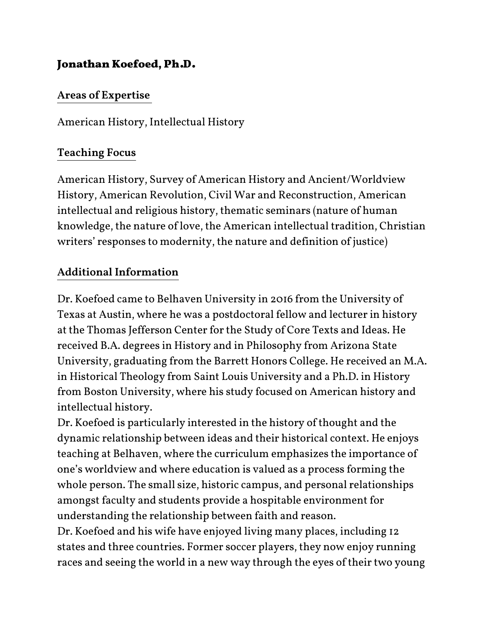# Jonathan Koefoed, Ph.D.

#### Areas of Expertise

American History, Intellectual History

### Teaching Focus

American History, Survey of American History and Ancient/Worldview History, American Revolution, Civil War and Reconstruction, American intellectual and religious history, thematic seminars (nature of human knowledge, the nature of love, the American intellectual tradition, Christian writers' responses to modernity, the nature and definition of justice)

### Additional Information

Dr. Koefoed came to Belhaven University in 2016 from the University of Texas at Austin, where he was a postdoctoral fellow and lecturer in history at the Thomas Jefferson Center for the Study of Core Texts and Ideas. He received B.A. degrees in History and in Philosophy from Arizona State University, graduating from the Barrett Honors College. He received an M.A. in Historical Theology from Saint Louis University and a Ph.D. in History from Boston University, where his study focused on American history and intellectual history.

Dr. Koefoed is particularly interested in the history of thought and the dynamic relationship between ideas and their historical context. He enjoys teaching at Belhaven, where the curriculum emphasizes the importance of one's worldview and where education is valued as a process forming the whole person. The small size, historic campus, and personal relationships amongst faculty and students provide a hospitable environment for understanding the relationship between faith and reason.

Dr. Koefoed and his wife have enjoyed living many places, including 12 states and three countries. Former soccer players, they now enjoy running races and seeing the world in a new way through the eyes of their two young